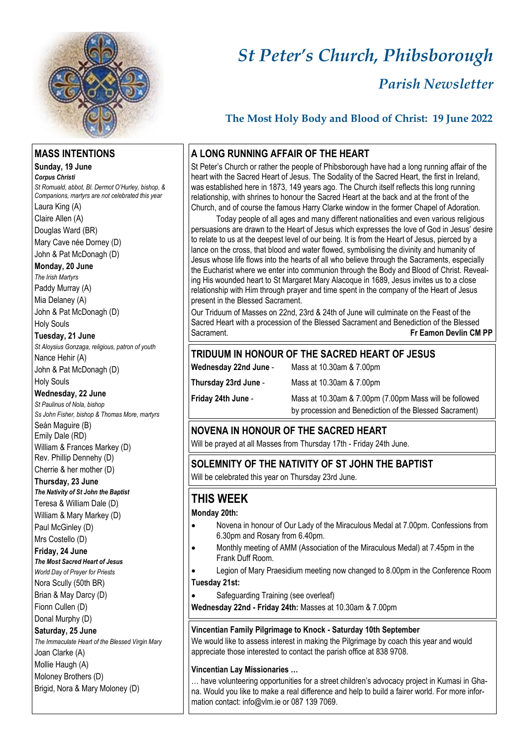

*St Romuald, abbot, Bl. Dermot O'Hurley, bishop, & Companions, martyrs are not celebrated this year*

**MASS INTENTIONS Sunday, 19 June** *Corpus Christi*

John & Pat McDonagh (D)

John & Pat McDonagh (D)

**Wednesday, 22 June** *St Paulinus of Nola, bishop*

Seán Maguire (B) Emily Dale (RD)

*St Aloysius Gonzaga, religious, patron of youth*

*Ss John Fisher, bishop & Thomas More, martyrs*

William & Frances Markey (D) Rev. Phillip Dennehy (D) Cherrie & her mother (D) **Thursday, 23 June**

*The Nativity of St John the Baptist* Teresa & William Dale (D) William & Mary Markey (D) Paul McGinley (D) Mrs Costello (D) **Friday, 24 June**

*The Most Sacred Heart of Jesus World Day of Prayer for Priests* Nora Scully (50th BR) Brian & May Darcy (D) Fionn Cullen (D) Donal Murphy (D) **Saturday, 25 June**

Joan Clarke (A) Mollie Haugh (A) Moloney Brothers (D)

*The Immaculate Heart of the Blessed Virgin Mary*

Brigid, Nora & Mary Moloney (D)

Holy Souls **Tuesday, 21 June**

Holy Souls

Nance Hehir (A)

Laura King (A) Claire Allen (A) Douglas Ward (BR) Mary Cave née Dorney (D) John & Pat McDonagh (D) **Monday, 20 June**  *The Irish Martyrs* Paddy Murray (A) Mia Delaney (A)

# *St Peter's Church, Phibsborough Parish Newsletter*

# **The Most Holy Body and Blood of Christ: 19 June 2022**

#### **A LONG RUNNING AFFAIR OF THE HEART**

St Peter's Church or rather the people of Phibsborough have had a long running affair of the heart with the Sacred Heart of Jesus. The Sodality of the Sacred Heart, the first in Ireland, was established here in 1873, 149 years ago. The Church itself reflects this long running relationship, with shrines to honour the Sacred Heart at the back and at the front of the Church, and of course the famous Harry Clarke window in the former Chapel of Adoration.

Today people of all ages and many different nationalities and even various religious persuasions are drawn to the Heart of Jesus which expresses the love of God in Jesus' desire .<br>to relate to us at the deepest level of our being. It is from the Heart of Jesus, pierced by a lance on the cross, that blood and water flowed, symbolising the divinity and humanity of Jesus whose life flows into the hearts of all who believe through the Sacraments, especially the Eucharist where we enter into communion through the Body and Blood of Christ. Revealing His wounded heart to St Margaret Mary Alacoque in 1689, Jesus invites us to a close relationship with Him through prayer and time spent in the company of the Heart of Jesus present in the Blessed Sacrament.

Our Triduum of Masses on 22nd, 23rd & 24th of June will culminate on the Feast of the Sacred Heart with a procession of the Blessed Sacrament and Benediction of the Blessed Sacrament. **Fr Eamon Devlin CM PP**

## **TRIDUUM IN HONOUR OF THE SACRED HEART OF JESUS**

**Wednesday 22nd June** - Mass at 10.30am & 7.00pm

**Thursday 23rd June** - Mass at 10.30am & 7.00pm

**Friday 24th June** - Mass at 10.30am & 7.00pm (7.00pm Mass will be followed by procession and Benediction of the Blessed Sacrament)

## **NOVENA IN HONOUR OF THE SACRED HEART**

Will be prayed at all Masses from Thursday 17th - Friday 24th June.

# **SOLEMNITY OF THE NATIVITY OF ST JOHN THE BAPTIST**

Will be celebrated this year on Thursday 23rd June.

# **THIS WEEK**

#### **Monday 20th:**

- Novena in honour of Our Lady of the Miraculous Medal at 7.00pm. Confessions from 6.30pm and Rosary from 6.40pm.
- Monthly meeting of AMM (Association of the Miraculous Medal) at 7.45pm in the Frank Duff Room.
- Legion of Mary Praesidium meeting now changed to 8.00pm in the Conference Room **Tuesday 21st:**
- Safeguarding Training (see overleaf)

**Wednesday 22nd - Friday 24th:** Masses at 10.30am & 7.00pm

#### **Vincentian Family Pilgrimage to Knock - Saturday 10th September**

We would like to assess interest in making the Pilgrimage by coach this year and would appreciate those interested to contact the parish office at 838 9708.

#### **Vincentian Lay Missionaries …**

… have volunteering opportunities for a street children's advocacy project in Kumasi in Ghana. Would you like to make a real difference and help to build a fairer world. For more information contact: info@vlm.ie or 087 139 7069.